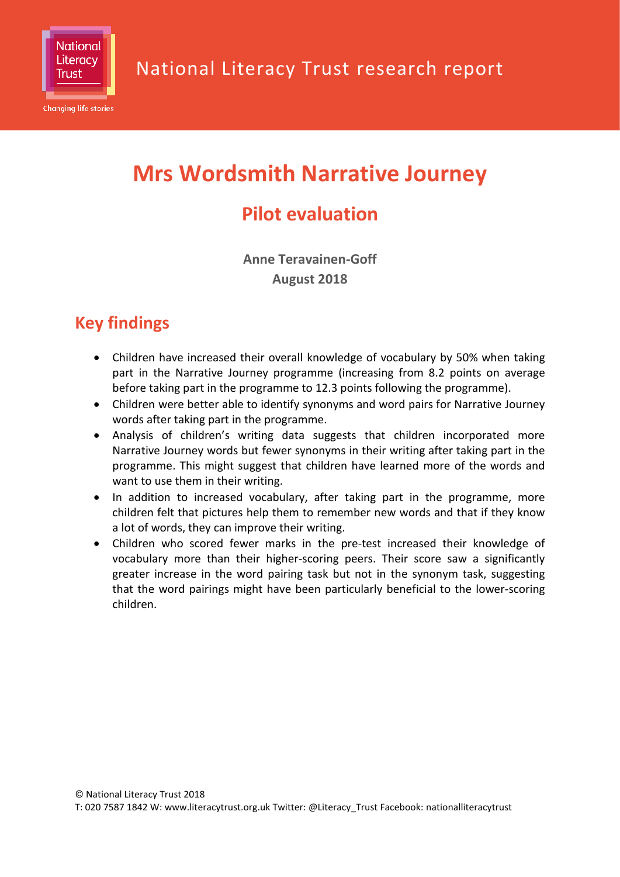

**Changing life stories** 

# **Mrs Wordsmith Narrative Journey**

## **Pilot evaluation**

**Anne Teravainen-Goff August 2018**

## **Key findings**

- Children have increased their overall knowledge of vocabulary by 50% when taking part in the Narrative Journey programme (increasing from 8.2 points on average before taking part in the programme to 12.3 points following the programme).
- Children were better able to identify synonyms and word pairs for Narrative Journey words after taking part in the programme.
- Analysis of children's writing data suggests that children incorporated more Narrative Journey words but fewer synonyms in their writing after taking part in the programme. This might suggest that children have learned more of the words and want to use them in their writing.
- In addition to increased vocabulary, after taking part in the programme, more children felt that pictures help them to remember new words and that if they know a lot of words, they can improve their writing.
- Children who scored fewer marks in the pre-test increased their knowledge of vocabulary more than their higher-scoring peers. Their score saw a significantly greater increase in the word pairing task but not in the synonym task, suggesting that the word pairings might have been particularly beneficial to the lower-scoring children.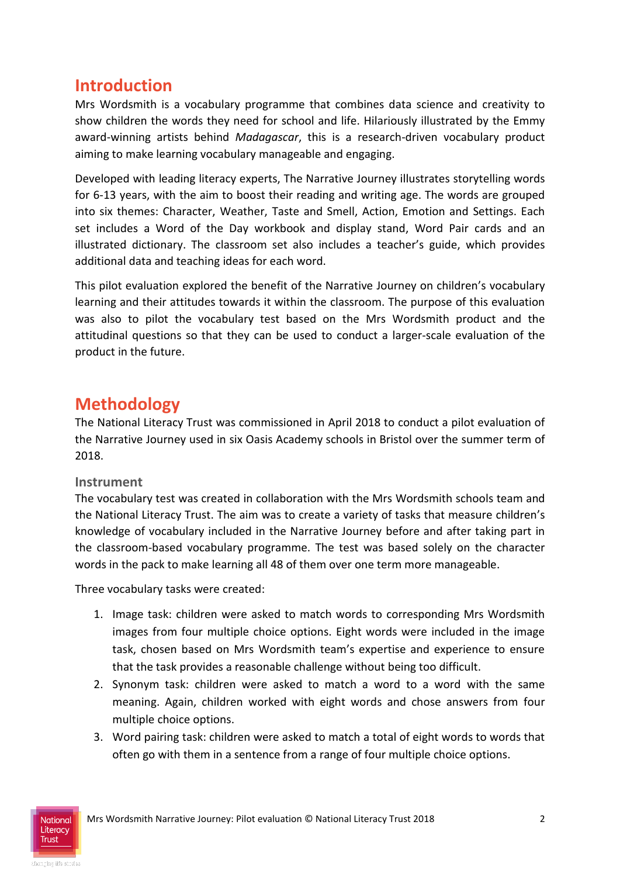### **Introduction**

Mrs Wordsmith is a vocabulary programme that combines data science and creativity to show children the words they need for school and life. Hilariously illustrated by the Emmy award-winning artists behind *Madagascar*, this is a research-driven vocabulary product aiming to make learning vocabulary manageable and engaging.

Developed with leading literacy experts, The Narrative Journey illustrates storytelling words for 6-13 years, with the aim to boost their reading and writing age. The words are grouped into six themes: Character, Weather, Taste and Smell, Action, Emotion and Settings. Each set includes a Word of the Day workbook and display stand, Word Pair cards and an illustrated dictionary. The classroom set also includes a teacher's guide, which provides additional data and teaching ideas for each word.

This pilot evaluation explored the benefit of the Narrative Journey on children's vocabulary learning and their attitudes towards it within the classroom. The purpose of this evaluation was also to pilot the vocabulary test based on the Mrs Wordsmith product and the attitudinal questions so that they can be used to conduct a larger-scale evaluation of the product in the future.

### **Methodology**

The National Literacy Trust was commissioned in April 2018 to conduct a pilot evaluation of the Narrative Journey used in six Oasis Academy schools in Bristol over the summer term of 2018.

#### **Instrument**

The vocabulary test was created in collaboration with the Mrs Wordsmith schools team and the National Literacy Trust. The aim was to create a variety of tasks that measure children's knowledge of vocabulary included in the Narrative Journey before and after taking part in the classroom-based vocabulary programme. The test was based solely on the character words in the pack to make learning all 48 of them over one term more manageable.

Three vocabulary tasks were created:

- 1. Image task: children were asked to match words to corresponding Mrs Wordsmith images from four multiple choice options. Eight words were included in the image task, chosen based on Mrs Wordsmith team's expertise and experience to ensure that the task provides a reasonable challenge without being too difficult.
- 2. Synonym task: children were asked to match a word to a word with the same meaning. Again, children worked with eight words and chose answers from four multiple choice options.
- 3. Word pairing task: children were asked to match a total of eight words to words that often go with them in a sentence from a range of four multiple choice options.

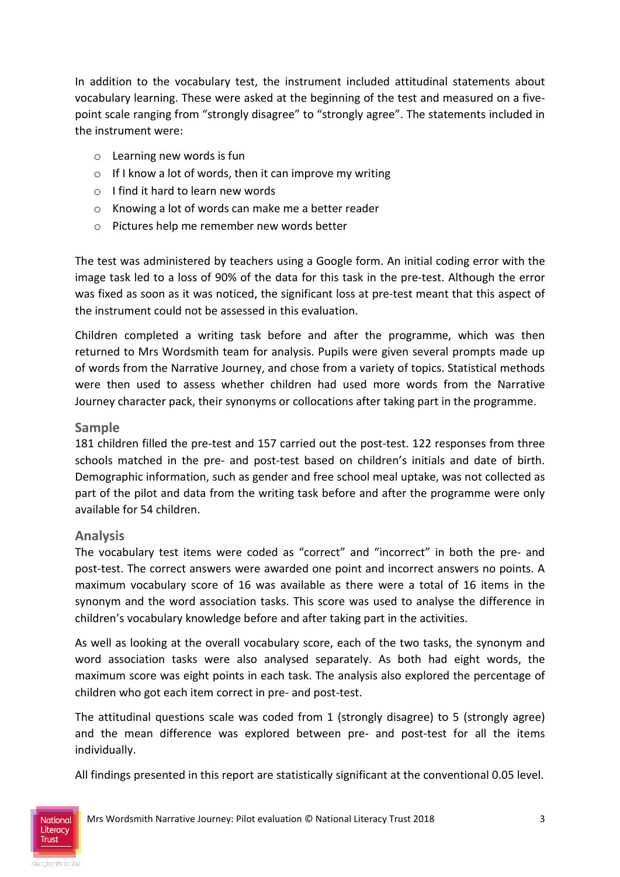In addition to the vocabulary test, the instrument included attitudinal statements about vocabulary learning. These were asked at the beginning of the test and measured on a fivepoint scale ranging from "strongly disagree" to "strongly agree". The statements included in the instrument were:

- o Learning new words is fun
- $\circ$  If I know a lot of words, then it can improve my writing
- o I find it hard to learn new words
- o Knowing a lot of words can make me a better reader
- o Pictures help me remember new words better

The test was administered by teachers using a Google form. An initial coding error with the image task led to a loss of 90% of the data for this task in the pre-test. Although the error was fixed as soon as it was noticed, the significant loss at pre-test meant that this aspect of the instrument could not be assessed in this evaluation.

Children completed a writing task before and after the programme, which was then returned to Mrs Wordsmith team for analysis. Pupils were given several prompts made up of words from the Narrative Journey, and chose from a variety of topics. Statistical methods were then used to assess whether children had used more words from the Narrative Journey character pack, their synonyms or collocations after taking part in the programme.

#### **Sample**

181 children filled the pre-test and 157 carried out the post-test. 122 responses from three schools matched in the pre- and post-test based on children's initials and date of birth. Demographic information, such as gender and free school meal uptake, was not collected as part of the pilot and data from the writing task before and after the programme were only available for 54 children.

#### **Analysis**

The vocabulary test items were coded as "correct" and "incorrect" in both the pre- and post-test. The correct answers were awarded one point and incorrect answers no points. A maximum vocabulary score of 16 was available as there were a total of 16 items in the synonym and the word association tasks. This score was used to analyse the difference in children's vocabulary knowledge before and after taking part in the activities.

As well as looking at the overall vocabulary score, each of the two tasks, the synonym and word association tasks were also analysed separately. As both had eight words, the maximum score was eight points in each task. The analysis also explored the percentage of children who got each item correct in pre- and post-test.

The attitudinal questions scale was coded from 1 (strongly disagree) to 5 (strongly agree) and the mean difference was explored between pre- and post-test for all the items individually.

All findings presented in this report are statistically significant at the conventional 0.05 level.

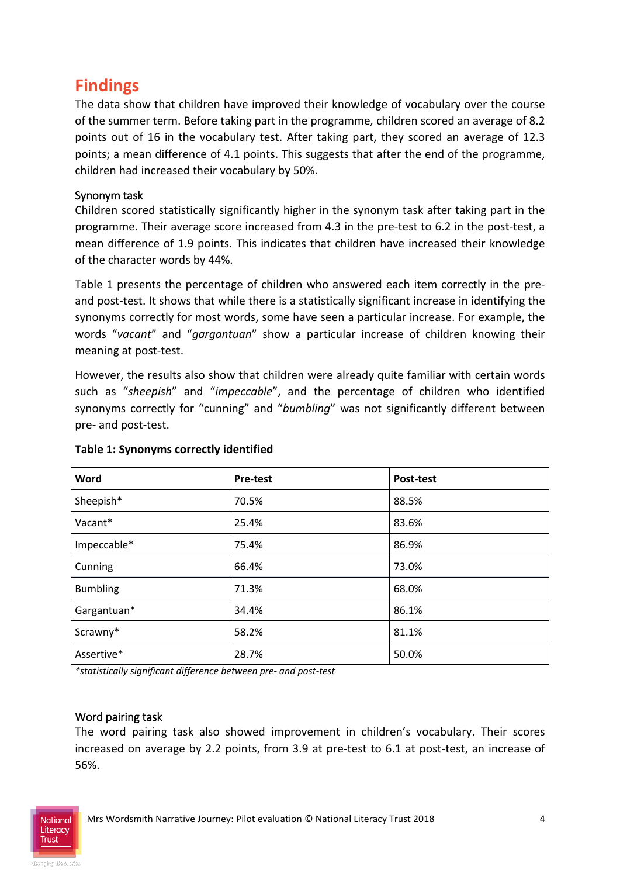## **Findings**

The data show that children have improved their knowledge of vocabulary over the course of the summer term. Before taking part in the programme*,* children scored an average of 8.2 points out of 16 in the vocabulary test. After taking part, they scored an average of 12.3 points; a mean difference of 4.1 points. This suggests that after the end of the programme, children had increased their vocabulary by 50%.

#### Synonym task

Children scored statistically significantly higher in the synonym task after taking part in the programme. Their average score increased from 4.3 in the pre-test to 6.2 in the post-test, a mean difference of 1.9 points. This indicates that children have increased their knowledge of the character words by 44%.

Table 1 presents the percentage of children who answered each item correctly in the preand post-test. It shows that while there is a statistically significant increase in identifying the synonyms correctly for most words, some have seen a particular increase. For example, the words "*vacant*" and "*gargantuan*" show a particular increase of children knowing their meaning at post-test.

However, the results also show that children were already quite familiar with certain words such as "*sheepish*" and "*impeccable*", and the percentage of children who identified synonyms correctly for "cunning" and "*bumbling*" was not significantly different between pre- and post-test.

| Word            | <b>Pre-test</b> | Post-test |
|-----------------|-----------------|-----------|
| Sheepish*       | 70.5%           | 88.5%     |
| Vacant*         | 25.4%           | 83.6%     |
| Impeccable*     | 75.4%           | 86.9%     |
| Cunning         | 66.4%           | 73.0%     |
| <b>Bumbling</b> | 71.3%           | 68.0%     |
| Gargantuan*     | 34.4%           | 86.1%     |
| Scrawny*        | 58.2%           | 81.1%     |
| Assertive*      | 28.7%           | 50.0%     |

#### **Table 1: Synonyms correctly identified**

*\*statistically significant difference between pre- and post-test*

#### Word pairing task

The word pairing task also showed improvement in children's vocabulary. Their scores increased on average by 2.2 points, from 3.9 at pre-test to 6.1 at post-test, an increase of 56%.

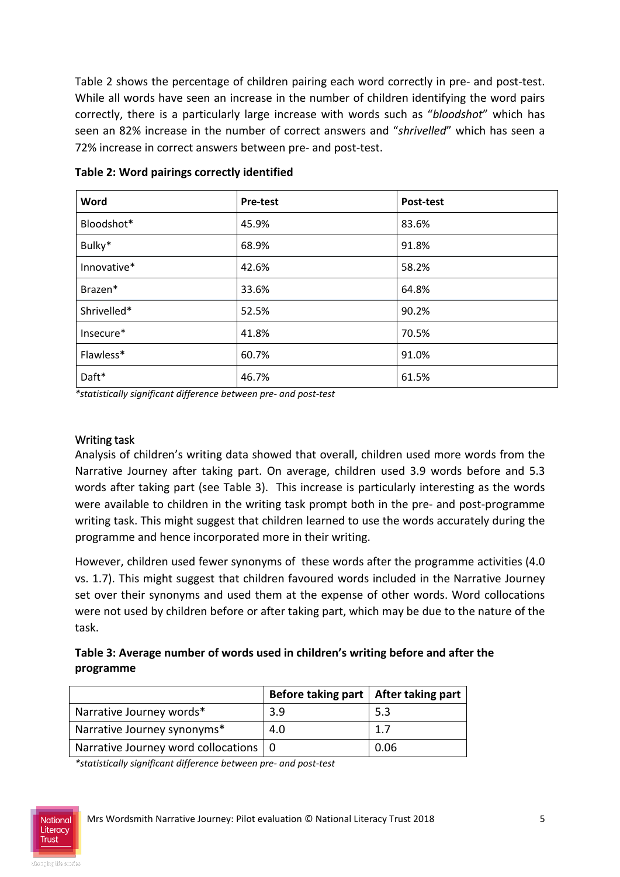Table 2 shows the percentage of children pairing each word correctly in pre- and post-test. While all words have seen an increase in the number of children identifying the word pairs correctly, there is a particularly large increase with words such as "*bloodshot*" which has seen an 82% increase in the number of correct answers and "*shrivelled*" which has seen a 72% increase in correct answers between pre- and post-test.

| Word        | <b>Pre-test</b> | Post-test |
|-------------|-----------------|-----------|
| Bloodshot*  | 45.9%           | 83.6%     |
| Bulky*      | 68.9%           | 91.8%     |
| Innovative* | 42.6%           | 58.2%     |
| Brazen*     | 33.6%           | 64.8%     |
| Shrivelled* | 52.5%           | 90.2%     |
| Insecure*   | 41.8%           | 70.5%     |
| Flawless*   | 60.7%           | 91.0%     |
| Daft*       | 46.7%           | 61.5%     |

**Table 2: Word pairings correctly identified** 

*\*statistically significant difference between pre- and post-test*

#### Writing task

Analysis of children's writing data showed that overall, children used more words from the Narrative Journey after taking part. On average, children used 3.9 words before and 5.3 words after taking part (see Table 3). This increase is particularly interesting as the words were available to children in the writing task prompt both in the pre- and post-programme writing task. This might suggest that children learned to use the words accurately during the programme and hence incorporated more in their writing.

However, children used fewer synonyms of these words after the programme activities (4.0 vs. 1.7). This might suggest that children favoured words included in the Narrative Journey set over their synonyms and used them at the expense of other words. Word collocations were not used by children before or after taking part, which may be due to the nature of the task.

#### **Table 3: Average number of words used in children's writing before and after the programme**

|                                         | Before taking part   After taking part |      |
|-----------------------------------------|----------------------------------------|------|
| Narrative Journey words*                | 3.9                                    | 5.3  |
| Narrative Journey synonyms*             | 4.0                                    | 1.7  |
| Narrative Journey word collocations   0 |                                        | 0.06 |

*\*statistically significant difference between pre- and post-test*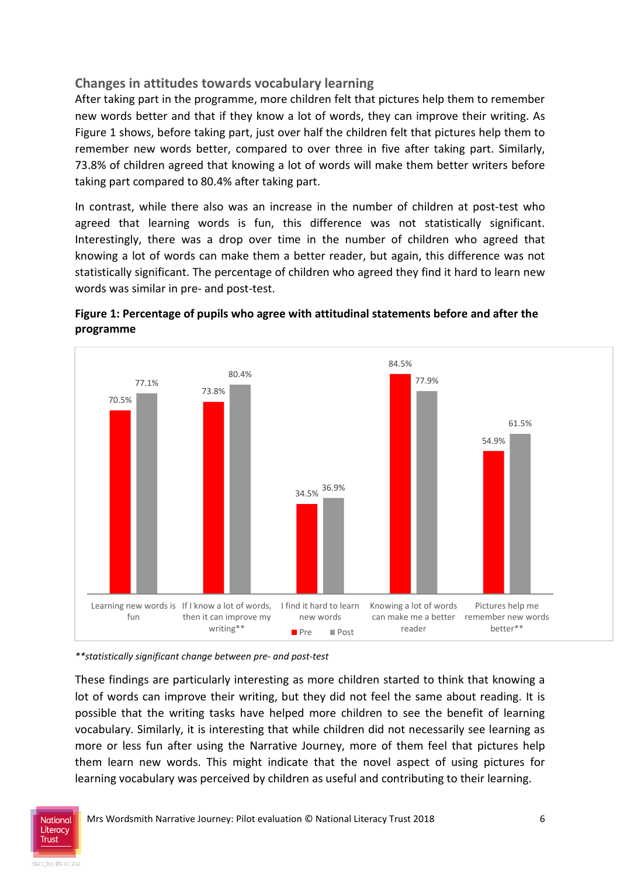#### **Changes in attitudes towards vocabulary learning**

After taking part in the programme, more children felt that pictures help them to remember new words better and that if they know a lot of words, they can improve their writing. As Figure 1 shows, before taking part, just over half the children felt that pictures help them to remember new words better, compared to over three in five after taking part. Similarly, 73.8% of children agreed that knowing a lot of words will make them better writers before taking part compared to 80.4% after taking part.

In contrast, while there also was an increase in the number of children at post-test who agreed that learning words is fun, this difference was not statistically significant. Interestingly, there was a drop over time in the number of children who agreed that knowing a lot of words can make them a better reader, but again, this difference was not statistically significant. The percentage of children who agreed they find it hard to learn new words was similar in pre- and post-test.



I find it hard to learn Knowing a lot of words

reader

**Pre** Post reader better\*\*

can make me a better remember new words

Pictures help me

#### **Figure 1: Percentage of pupils who agree with attitudinal statements before and after the programme**

*\*\*statistically significant change between pre- and post-test*

then it can improve my writing\*\*

Learning new words is If I know a lot of words,

fun

These findings are particularly interesting as more children started to think that knowing a lot of words can improve their writing, but they did not feel the same about reading. It is possible that the writing tasks have helped more children to see the benefit of learning vocabulary. Similarly, it is interesting that while children did not necessarily see learning as more or less fun after using the Narrative Journey, more of them feel that pictures help them learn new words. This might indicate that the novel aspect of using pictures for learning vocabulary was perceived by children as useful and contributing to their learning.

new words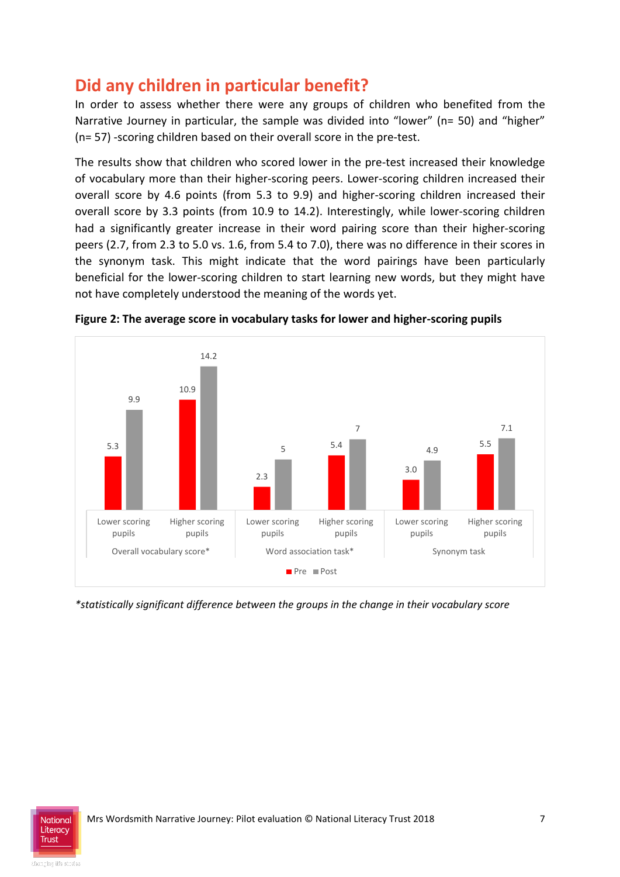## **Did any children in particular benefit?**

In order to assess whether there were any groups of children who benefited from the Narrative Journey in particular, the sample was divided into "lower" (n= 50) and "higher" (n= 57) -scoring children based on their overall score in the pre-test.

The results show that children who scored lower in the pre-test increased their knowledge of vocabulary more than their higher-scoring peers. Lower-scoring children increased their overall score by 4.6 points (from 5.3 to 9.9) and higher-scoring children increased their overall score by 3.3 points (from 10.9 to 14.2). Interestingly, while lower-scoring children had a significantly greater increase in their word pairing score than their higher-scoring peers (2.7, from 2.3 to 5.0 vs. 1.6, from 5.4 to 7.0), there was no difference in their scores in the synonym task. This might indicate that the word pairings have been particularly beneficial for the lower-scoring children to start learning new words, but they might have not have completely understood the meaning of the words yet.



**Figure 2: The average score in vocabulary tasks for lower and higher-scoring pupils**

*\*statistically significant difference between the groups in the change in their vocabulary score*